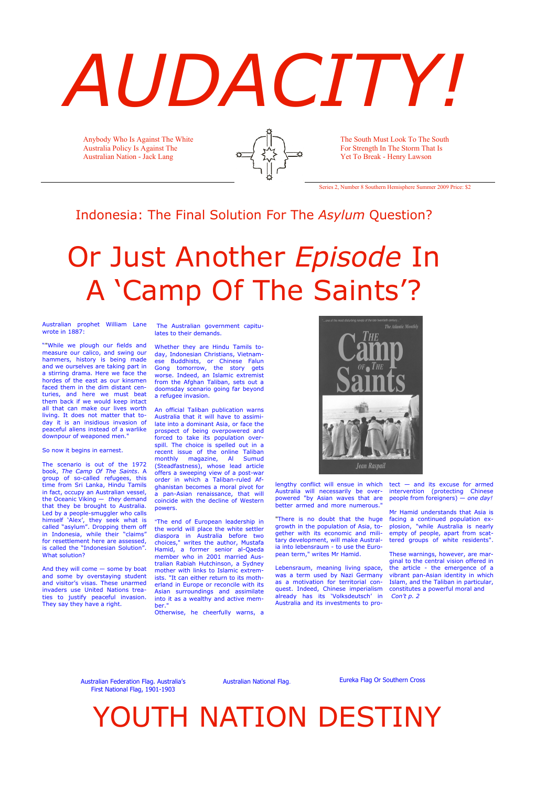# *AUDACITY!*

Australian prophet William Lane wrote in 1887:

""While we plough our fields and measure our calico, and swing our hammers, history is being made and we ourselves are taking part in a stirring drama. Here we face the hordes of the east as our kinsmen faced them in the dim distant centuries, and here we must beat them back if we would keep intact all that can make our lives worth living. It does not matter that today it is an insidious invasion of peaceful aliens instead of a warlike downpour of weaponed men."

So now it begins in earnest.

The scenario is out of the 1972 book, *The Camp Of The Saints*. A group of so-called refugees, this time from Sri Lanka, Hindu Tamils in fact, occupy an Australian vessel, the Oceanic Viking — *they* demand that they be brought to Australia. Led by a people-smuggler who calls himself 'Alex', they seek what is called "asylum". Dropping them off in Indonesia, while their "claims" for resettlement here are assessed, is called the "Indonesian Solution". What solution?

And they will come — some by boat and some by overstaying student and visitor's visas. These unarmed invaders use United Nations treaties to justify peaceful invasion. They say they have a right.

The Australian government capitulates to their demands.

Whether they are Hindu Tamils today, Indonesian Christians, Vietnamese Buddhists, or Chinese Falun Gong tomorrow, the story gets worse. Indeed, an Islamic extremist from the Afghan Taliban, sets out a doomsday scenario going far beyond a refugee invasion.

An official Taliban publication warns Australia that it will have to assimilate into a dominant Asia, or face the prospect of being overpowered and forced to take its population overspill. The choice is spelled out in a recent issue of the online Taliban monthly magazine, Al Sumud (Steadfastness), whose lead article offers a sweeping view of a post-war order in which a Taliban-ruled Afghanistan becomes a moral pivot for a pan-Asian renaissance, that will coincide with the decline of Western powers.



"The end of European leadership in the world will place the white settler diaspora in Australia before two choices," writes the author, Mustafa Hamid, a former senior al-Qaeda member who in 2001 married Australian Rabiah Hutchinson, a Sydney mother with links to Islamic extremists. "It can either return to its motherland in Europe or reconcile with its Asian surroundings and assimilate into it as a wealthy and active member."

Otherwise, he cheerfully warns, a

lengthy conflict will ensue in which tect — and its excuse for armed Australia will necessarily be overpowered "by Asian waves that are better armed and more numerous."

"There is no doubt that the huge growth in the population of Asia, together with its economic and military development, will make Australia into lebensraum - to use the European term," writes Mr Hamid.

Lebensraum, meaning living space, was a term used by Nazi Germany as a motivation for territorial conquest. Indeed, Chinese imperialism already has its 'Volksdeutsch' in Australia and its investments to pro-

intervention (protecting Chinese people from foreigners) — *one day!*

Mr Hamid understands that Asia is

facing a continued population explosion, "while Australia is nearly empty of people, apart from scattered groups of white residents".

These warnings, however, are marginal to the central vision offered in the article - the emergence of a vibrant pan-Asian identity in which Islam, and the Taliban in particular, constitutes a powerful moral and *Con't p. 2*

Anybody Who Is Against The White Australia Policy Is Against The Australian Nation - Jack Lang



The South Must Look To The South For Strength In The Storm That Is Yet To Break - Henry Lawson

Series 2, Number 8 Southern Hemisphere Summer 2009 Price: \$2

Australian Federation Flag. Australia's First National Flag, 1901-1903

Australian National Flag. Eureka Flag Or Southern Cross

# YOUTH NATION DESTINY

### Indonesia: The Final Solution For The *Asylum* Question?

# Or Just Another *Episode* In A 'Camp Of The Saints'?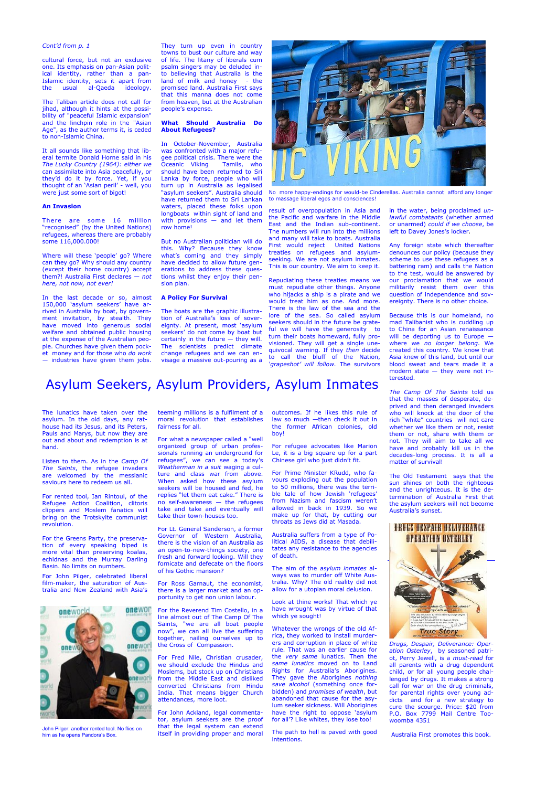*Drugs, Despair, Deliverance: Operation Osterley*, by seasoned patriot, Perry Jewell, is a *must-read* for all parents with a drug dependent child, or for all young people challenged by drugs. It makes a strong call for war on the drug criminals, for parental rights over young addicts and for a new strategy to cure the scourge. Price: \$20 from P.O. Box 7799 Mail Centre Toowoomba 4351

Australia First promotes this book.

### *Cont'd from p. 1*

cultural force, but not an exclusive one. Its emphasis on pan-Asian political identity, rather than a pan-Islamic identity, sets it apart from the usual al-Qaeda ideology.

The Taliban article does not call for jihad, although it hints at the possibility of "peaceful Islamic expansion" and the linchpin role in the "Asian Age", as the author terms it, is ceded to non-Islamic China.

It all sounds like something that liberal termite Donald Horne said in his *The Lucky Country (1964): either we* can assimilate into Asia peacefully, or they'd do it by force. Yet, if you thought of an 'Asian peril' - well, you were just some sort of bigot!

#### **An Invasion**

There are some 16 million "recognised" (by the United Nations) refugees, whereas there are probably some 116,000.000!

Where will these 'people' go? Where can they go? Why should any country (except their home country) accept them?! Australia First declares — *not here, not now, not ever!*

In the last decade or so, almost 150,000 'asylum seekers' have arrived in Australia by boat, by government invitation, by stealth. They have moved into generous social welfare and obtained public housing at the expense of the Australian people. Churches have given them pocket money and for those who *do work*  — industries have given them jobs.

They turn up even in country towns to bust our culture and way of life. The litany of liberals cum psalm singers may be deluded into believing that Australia is the land of milk and honey - the promised land. Australia First says that this manna does not come from heaven, but at the Australian people's expense.

### **What Should Australia Do About Refugees?**

In October-November, Australia was confronted with a major refugee political crisis. There were the Oceanic Viking Tamils, who should have been returned to Sri Lanka by force, people who will turn up in Australia as legalised "asylum seekers". Australia should have returned them to Sri Lankan waters, placed these folks upon longboats within sight of land and with provisions — and let them row home!

But no Australian politician will do this. Why? Because they know what's coming and they simply have decided to allow future generations to address these questions whilst they enjoy their pension plan.

#### **A Policy For Survival**

The boats are the graphic illustration of Australia's loss of sovereignty. At present, most 'asylum seekers' do not come by boat but certainly in the future — they will. The scientists predict climate change refugees and we can envisage a massive out-pouring as a



result of overpopulation in Asia and the Pacific and warfare in the Middle East and the Indian sub-continent. The numbers will run into the millions and many will take to boats. Australia First would reject United Nations treaties on refugees and asylumseeking. We are not asylum inmates. This is our country. We aim to keep it.

Repudiating these treaties means we must repudiate other things. Anyone who hijacks a ship is a pirate and we would treat him as one. And more. There is the law of the sea and the lore of the sea. So called asylum seekers should in the future be grateful we will have the generosity to turn their boats homeward, fully provisioned. They will get a single unequivocal warning. If they *then* decide to call the bluff of the Nation, *'grapeshot' will follow.* The survivors

in the water, being proclaimed *unlawful combatants* (whether armed or unarmed) *could if we choose*, be left to Davey Jones's locker.

Any foreign state which thereafter denounces our policy (because they scheme to use these refugees as a battering ram) and calls the Nation to the test, would be answered by our proclamation that we would militarily resist them over this question of independence and sovereignty. There is no other choice.

Because this is our homeland, no mad Talibanist who is cuddling up to China for an Asian renaissance will be deporting us to Europe where we *no longer belong*. We created this country. We know that Asia knew of this land, but until our blood sweat and tears made it a modern state — they were not interested.

*The Camp Of The Saints* told us that the masses of desperate, deprived and then deranged invaders who will knock at the door of the rich "white" countries will not care whether we like them or not, resist them or not, share with them or not. They will aim to take all we have and probably kill us in the decades-long process. It is all a matter of survival!

> The Old Testament says that the sun shines on both the righteous and the unrighteous. It is the determination of Australia First that the asylum seekers will not become Australia's sunset.

### Asylum Seekers, Asylum Providers, Asylum Inmates

The lunatics have taken over the asylum. In the old days, any rathouse had its Jesus, and its Peters, Pauls and Marys, but now they are out and about and redemption is at hand.

Listen to them. As in the *Camp Of The Saints*, the refugee invaders are welcomed by the messianic saviours here to redeem us all.

For rented tool, Ian Rintoul, of the Refugee Action Coalition, clitoris clippers and Moslem fanatics will bring on the Trotskyite communist revolution.

For the Greens Party, the preservation of every speaking biped is more vital than preserving koalas, echidnas and the Murray Darling Basin. No limits on numbers.

For John Pilger, celebrated liberal film-maker, the saturation of Australia and New Zealand with Asia's teeming millions is a fulfilment of a moral revolution that establishes fairness for all.

For what a newspaper called a "well organized group of urban professionals running an underground for refugees", we can see a today's *Weatherman in a suit* waging a culture and class war from above. When asked how these asylum seekers will be housed and fed, he replies "let them eat cake." There is no self-awareness — the refugees take and take and eventually will take their town-houses too.

For Lt. General Sanderson, a former Governor of Western Australia, there is the vision of an Australia as an open-to-new-things society, one fresh and forward looking. Will they fornicate and defecate on the floors of his Gothic mansion?

For Ross Garnaut, the economist, there is a larger market and an opportunity to get non union labour.

For the Reverend Tim Costello, in a line almost out of The Camp Of The Saints, "we are all boat people now", we can all live the suffering together, nailing ourselves up to the Cross of Compassion.

For Fred Nile, Christian crusader, we should exclude the Hindus and Moslems, but stock up on Christians from the Middle East and disliked converted Christians from Hindu India. That means bigger Church attendances, more loot.

For John Ackland, legal commentator, asylum seekers are the proof that the legal system can extend itself in providing proper and moral

outcomes. If he likes this rule of law so much —then check it out in the former African colonies, old boy!

For refugee advocates like Marion Le, it is a big square up for a part Chinese girl who just didn't fit.

For Prime Minister KRudd, who favours exploding out the population to 50 millions, there was the terrible tale of how Jewish 'refugees' from Nazism and fascism weren't allowed in back in 1939. So we make up for that, by cutting our throats as Jews did at Masada.

Australia suffers from a type of Political AIDS, a disease that debilitates any resistance to the agencies of death.

The aim of the *asylum inmates* always was to murder off White Australia. Why? The old reality did not allow for a utopian moral delusion.

Look at thine works! That which ye have wrought was by virtue of that which ye sought!

Whatever the wrongs of the old Africa, they worked to install murderers and corruption in place of white rule. That was an earlier cause for the *very same* lunatics. Then the *same lunatics* moved on to Land Rights for Australia's Aborigines. They gave the Aborigines *nothing save alcohol* (something once forbidden) and *promises of wealth*, but abandoned that cause for the asylum seeker sickness. Will Aborigines have the right to oppose 'asylum for all'? Like whites, they lose too!

The path to hell is paved with good intentions.





John Pilger: another rented tool. No flies on him as he opens Pandora's Box.

No more happy-endings for would-be Cinderellas. Australia cannot afford any longer to massage liberal egos and consciences!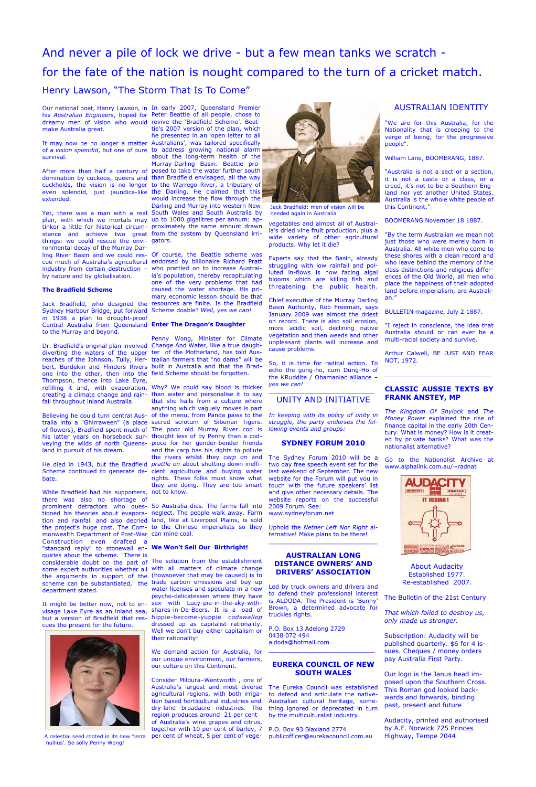dreamy men of vision who would revive the 'Bradfield Scheme'. Beatmake Australia great.

survival.

extended.

things: we could rescue the envi-gators. ronmental decay of the Murray Darling River Basin and we could res-Of course, the Beattie scheme was by nature and by globalisation.

### **The Bradfield Scheme**

Sydney Harbour Bridge, put forward Scheme doable? *Well, yes we can!* in 1938 a plan to drought-proof Central Australia from Queensland **Enter The Dragon's Daughter** to the Murray and beyond.

one into the other, then into the field Scheme should be forgotten. Thompson, thence into Lake Eyre, refilling it and, with evaporation, Why? We could say blood is thicker fall throughout inland Australia

Believing he could turn central Ausland in pursuit of his dream.

bate.

While Bradfield had his supporters, not to know. there was also no shortage of

It might be better now, not to en-sex with Lucy-pie-in-the-sky-withvisage Lake Eyre as an inland sea, shares-in-De-Beers. It is a load of but a version of Bradfield that rescues the present for the future.



A celestial seed rooted in its new 'terra nullius'. So solly Penny Wong!

About Audacity Established 1977. Re-established 2007.

The Bulletin of the 21st Century

*That which failed to destroy us, only made us stronger.*

Subscription: Audacity will be published quarterly. \$6 for 4 issues. Cheques / money orders pay Australia First Party.

Our logo is the Janus head imposed upon the Southern Cross. This Roman god looked backwards and forwards, binding past, present and future

Audacity, printed and authorised by A.F. Norwick 725 Princes Highway, Tempe 2044

vegetables and almost all of Australia's dried vine fruit production, plus a wide variety of other agricultural products. Why let it die?

Experts say that the Basin, already struggling with low rainfall and polluted in-flows is now facing algal blooms which are killing fish and threatening the public health.

Chief executive of the Murray Darling Basin Authority, Rob Freeman, says January 2009 was almost the driest on record. There is also soil erosion, more acidic soil, declining native vegetation and then weeds and other unpleasant plants will increase and cause problems.

Our national poet, Henry Lawson, in In early 2007, Queensland Premier his *Australian Engineers*, hoped for Peter Beattie of all people, chose to It may now be no longer a matter Australians', was tailored specifically of a *vision splendid*, but one of pure to address growing national alarm After more than half a century of posed to take the water further south domination by cuckoos, queers and than Bradfield envisaged, all the way cuckholds, the vision is no longer to the Warrego River, a tributary of even splendid, just jaundice-like the Darling. He claimed that this Yet, there was a man with a real South Wales and South Australia by plan, with which we mortals may up to 1000 gigalitres per annum: aptinker a little for historical circum-proximately the same amount drawn stance and achieve two great from the system by Queensland irritie's 2007 version of the plan, which he presented in an 'open letter to all about the long-term health of the Murray-Darling Basin. Beattie prowould increase the flow through the Darling and Murray into western New

> So, it is time for radical action. To echo the gung-ho, cum Dung-Ho of the KRuddite / Obamaniac alliance – *yes we can!*

### \_\_\_\_\_\_\_\_\_\_\_\_\_\_\_\_\_\_\_\_\_\_\_\_\_\_\_\_\_ UNITY AND INITIATIVE

*In keeping with its policy of unity in struggle, the party endorses the following events and groups:*

### **SYDNEY FORUM 2010**

The Sydney Forum 2010 will be a two day free speech event set for the last weekend of September. The new website for the Forum will put you in touch with the future speakers' list and give other necessary details. The website reports on the successful 2009 Forum. See:

cue much of Australia's agricultural endorsed by billionaire Richard Pratt industry from certain destruction – who prattled on to increase Austral-Jack Bradfield, who designed the resources are finite. Is the Bradfield ia's population, thereby recapitulating one of the very problems that had caused the water shortage. His primary economic lesson should be that

www.sydneyforum.net

Uphold the *Nether Left Nor Right* alternative! Make plans to be there!

\_\_\_\_\_\_\_\_\_\_\_\_\_\_\_\_\_\_\_\_\_\_\_\_\_\_\_\_\_\_\_\_\_\_

### **AUSTRALIAN LONG DISTANCE OWNERS' AND DRIVERS' ASSOCIATION**

Dr. Bradfield's original plan involved Change And Water, like a true daughdiverting the waters of the upper ter of the Motherland, has told Ausreaches of the Johnson, Tully, Her-tralian farmers that "no dams" will be bert, Burdekin and Flinders Rivers built in Australia and that the Brad-Penny Wong, Minister for Climate

tion and rainfall and also decried land, like at Liverpool Plains, is sold the project's huge cost. The Com-to the Chinese imperialists so they monwealth Department of Post-War can mine coal.

> Led by truck owners and drivers and to defend their professional interest is ALDODA. The President is 'Bunny' Brown, a determined advocate for truckies rights.

P.O. Box 13 Adelong 2729 0438 072 494 aldoda@hotmail.com

\_\_\_\_\_\_\_\_\_\_\_\_\_\_\_\_\_\_\_\_\_\_\_\_\_\_\_\_\_

### **EUREKA COUNCIL OF NEW SOUTH WALES**

The Eureka Council was established to defend and articulate the native-Australian cultural heritage, something ignored or deprecated in turn by the multiculturalist industry.

creating a climate change and rain-than water and personalise it to say tralia into a "Ghirraween" (a place sacred scrotum of Siberian Tigers. of flowers), Bradfield spent much of The poor old Murray River cod is his latter years on horseback sur-thought less of by Penny than a codveying the wilds of north Queens-piece for her gender-bender friends He died in 1943, but the Bradfield *prattle on* about shutting down ineffi-Scheme continued to generate de- cient agriculture and buying water that she hails from a culture where anything which vaguely moves is part of the menu, from Panda paws to the and the carp has his rights to pollute the rivers whilst they *carp on* and rights. These folks must know what they are doing. They are too smart

# And never a pile of lock we drive - but a few mean tanks we scratch for the fate of the nation is nought compared to the turn of a cricket match. Henry Lawson, "The Storm That Is To Come"

prominent detractors who ques-So Australia dies. The farms fall into tioned his theories about evapora-neglect. The people walk away. Farm

### AUSTRALIAN IDENTITY

"We are for this Australia, for the Nationality that is creeping to the verge of being, for the progressive people".

William Lane, BOOMERANG, 1887.

Construction even drafted a "standard reply" to stonewall en-**We Won't Sell Our Birthright!** quiries about the scheme. "There is considerable doubt on the part of The solution from the establishment some expert authorities whether all the arguments in support of the (howsoever that may be caused) is to scheme can be substantiated," the trade carbon emissions and buy up department stated. with all matters of climate change water licenses and speculate in a new psycho-delicatessen where they have

"Australia is not a sect or a section, it is not a caste or a class, or a creed, it's not to be a Southern England nor yet another United States. Australia is the whole white people of this Continent."

BOOMERANG November 18 1887.

"By the term Australian we mean not just those who were merely born in Australia. All white men who come to these shores with a clean record and who leave behind the memory of the class distinctions and religious differences of the Old World, all men who place the happiness of their adopted land before imperialism, are Australian."

BULLETIN magazine, July 2 1887.

"I reject in conscience, the idea that Australia should or can ever be a multi-racial society and survive.

Arthur Calwell, BE JUST AND FEAR NOT, 1972.

\_\_\_\_\_\_\_\_\_\_\_\_\_\_\_\_\_\_\_\_\_\_\_\_\_\_\_\_\_

### **CLASSIC AUSSIE TEXTS BY FRANK ANSTEY, MP**

*The Kingdom Of Shylock* and *The Money Power* explained the rise of finance capital in the early 20th Century. What is money? How is it created by private banks? What was the nationalist alternative?

Go to the Nationalist Archive at www.alphalink.com.au/~radnat



P.O. Box 93 Blaxland 2774 publicofficer@eurekacouncil.com.au together with 10 per cent of barley, 7

hippie-become-yuppie *codswallop* dressed up as capitalist rationality. Well we don't buy either capitalism or

their rationality!

We demand action for Australia, for our unique environment, our farmers,

our culture on this Continent.

Consider Mildura–Wentworth , one of Australia's largest and most diverse agricultural regions, with both irrigation based horticultural industries and dry-land broadacre industries. The region produces around 21 per cent of Australia's wine grapes and citrus,

per cent of wheat, 5 per cent of vege-



Jack Bradfield: men of vision will be needed again in Australia